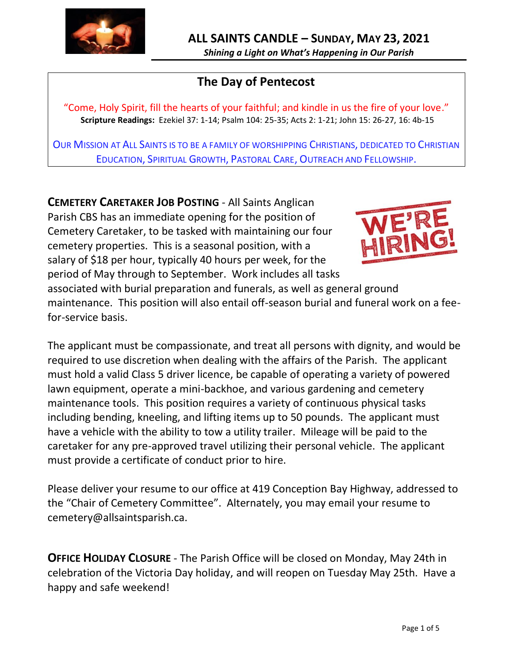

# **The Day of Pentecost**

"Come, Holy Spirit, fill the hearts of your faithful; and kindle in us the fire of your love." **Scripture Readings:** Ezekiel 37: 1-14; Psalm 104: 25-35; Acts 2: 1-21; John 15: 26-27, 16: 4b-15

OUR MISSION AT ALL SAINTS IS TO BE A FAMILY OF WORSHIPPING CHRISTIANS, DEDICATED TO CHRISTIAN EDUCATION, SPIRITUAL GROWTH, PASTORAL CARE, OUTREACH AND FELLOWSHIP.

**CEMETERY CARETAKER JOB POSTING** - All Saints Anglican Parish CBS has an immediate opening for the position of Cemetery Caretaker, to be tasked with maintaining our four cemetery properties. This is a seasonal position, with a salary of \$18 per hour, typically 40 hours per week, for the period of May through to September. Work includes all tasks



associated with burial preparation and funerals, as well as general ground maintenance. This position will also entail off-season burial and funeral work on a feefor-service basis.

The applicant must be compassionate, and treat all persons with dignity, and would be required to use discretion when dealing with the affairs of the Parish. The applicant must hold a valid Class 5 driver licence, be capable of operating a variety of powered lawn equipment, operate a mini-backhoe, and various gardening and cemetery maintenance tools. This position requires a variety of continuous physical tasks including bending, kneeling, and lifting items up to 50 pounds. The applicant must have a vehicle with the ability to tow a utility trailer. Mileage will be paid to the caretaker for any pre-approved travel utilizing their personal vehicle. The applicant must provide a certificate of conduct prior to hire.

Please deliver your resume to our office at 419 Conception Bay Highway, addressed to the "Chair of Cemetery Committee". Alternately, you may email your resume to cemetery@allsaintsparish.ca.

**OFFICE HOLIDAY CLOSURE** - The Parish Office will be closed on Monday, May 24th in celebration of the Victoria Day holiday, and will reopen on Tuesday May 25th. Have a happy and safe weekend!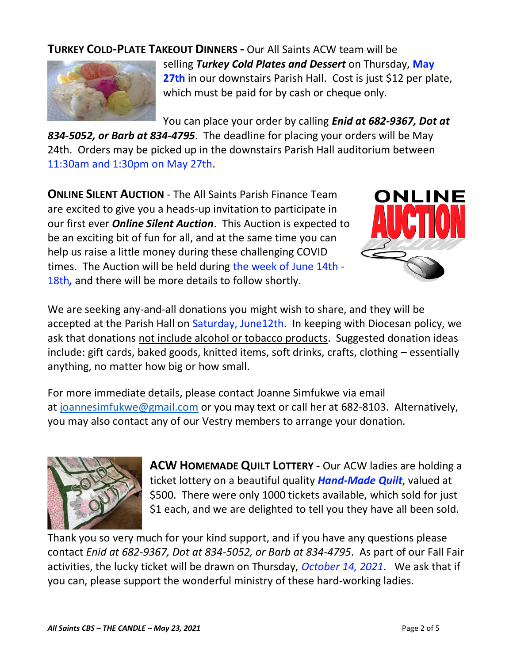## **TURKEY COLD-PLATE TAKEOUT DINNERS -** Our All Saints ACW team will be



selling *Turkey Cold Plates and Dessert* on Thursday, **May 27th** in our downstairs Parish Hall. Cost is just \$12 per plate, which must be paid for by cash or cheque only.

You can place your order by calling *Enid at 682-9367, Dot at* 

*834-5052, or Barb at 834-4795*. The deadline for placing your orders will be May 24th. Orders may be picked up in the downstairs Parish Hall auditorium between 11:30am and 1:30pm on May 27th.

**ONLINE SILENT AUCTION** - The All Saints Parish Finance Team are excited to give you a heads-up invitation to participate in our first ever *Online Silent Auction*. This Auction is expected to be an exciting bit of fun for all, and at the same time you can help us raise a little money during these challenging COVID times. The Auction will be held during the week of June 14th - 18th*,* and there will be more details to follow shortly.



We are seeking any-and-all donations you might wish to share, and they will be accepted at the Parish Hall on Saturday, June12th. In keeping with Diocesan policy, we ask that donations not include alcohol or tobacco products. Suggested donation ideas include: gift cards, baked goods, knitted items, soft drinks, crafts, clothing – essentially anything, no matter how big or how small.

For more immediate details, please contact Joanne Simfukwe via email at [joannesimfukwe@gmail.com](mailto:joannesimfukwe@gmail.com) or you may text or call her at 682-8103. Alternatively, you may also contact any of our Vestry members to arrange your donation.



**ACW HOMEMADE QUILT LOTTERY** - Our ACW ladies are holding a ticket lottery on a beautiful quality *Hand-Made Quilt*, valued at \$500. There were only 1000 tickets available, which sold for just \$1 each, and we are delighted to tell you they have all been sold.

Thank you so very much for your kind support, and if you have any questions please contact *Enid at 682-9367, Dot at 834-5052, or Barb at 834-4795*. As part of our Fall Fair activities, the lucky ticket will be drawn on Thursday, *October 14, 2021*. We ask that if you can, please support the wonderful ministry of these hard-working ladies.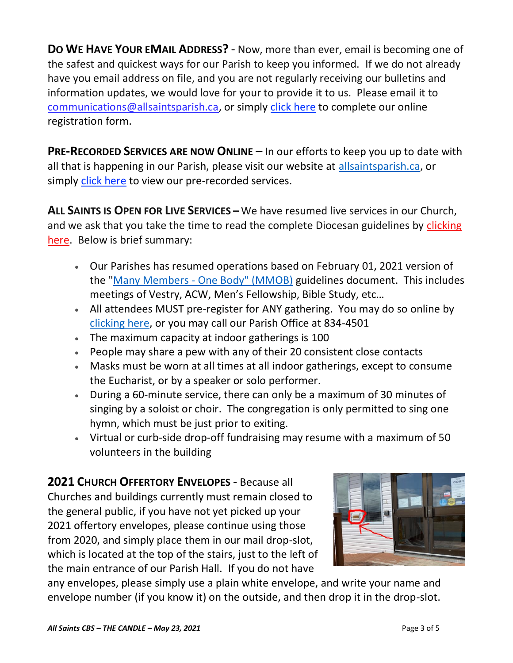**DO WE HAVE YOUR EMAIL ADDRESS?** - Now, more than ever, email is becoming one of the safest and quickest ways for our Parish to keep you informed. If we do not already have you email address on file, and you are not regularly receiving our bulletins and information updates, we would love for your to provide it to us. Please email it to [communications@allsaintsparish.ca,](mailto:communications@allsaintsparish.ca?subject=eMail%20Address%20Update) or simply [click here](http://allsaintsparish.ca/email_updates) to complete our online registration form.

**PRE-RECORDED SERVICES ARE NOW ONLINE** – In our efforts to keep you up to date with all that is happening in our Parish, please visit our website at [allsaintsparish.ca,](http://allsaintsparish.ca/) or simply [click here](http://allsaintsparish.ca/recorded-church-services) to view our pre-recorded services.

**ALL SAINTS IS OPEN FOR LIVE SERVICES –** We have resumed live services in our Church, and we ask that you take the time to read the complete Diocesan guidelines by clicking [here.](http://allsaintsparish.ca/document_library/COVID-19/210324%20COVID-19%20Revised%20Alert%20Level%202%20effective%20March%2027%202021.pdf) Below is brief summary:

- Our Parishes has resumed operations based on February 01, 2021 version of the "Many Members - [One Body" \(MMOB\)](https://anglicanenl.net/home/wp-content/uploads/2021/02/Many-Members-One-Body-February-2021.pdf) guidelines document. This includes meetings of Vestry, ACW, Men's Fellowship, Bible Study, etc…
- All attendees MUST pre-register for ANY gathering. You may do so online by [clicking here,](http://allsaintsparish.ca/covid-pre-registration-form) or you may call our Parish Office at 834-4501
- The maximum capacity at indoor gatherings is 100
- People may share a pew with any of their 20 consistent close contacts
- Masks must be worn at all times at all indoor gatherings, except to consume the Eucharist, or by a speaker or solo performer.
- During a 60-minute service, there can only be a maximum of 30 minutes of singing by a soloist or choir. The congregation is only permitted to sing one hymn, which must be just prior to exiting.
- Virtual or curb-side drop-off fundraising may resume with a maximum of 50 volunteers in the building

**2021 CHURCH OFFERTORY ENVELOPES** - Because all Churches and buildings currently must remain closed to the general public, if you have not yet picked up your 2021 offertory envelopes, please continue using those from 2020, and simply place them in our mail drop-slot, which is located at the top of the stairs, just to the left of the main entrance of our Parish Hall. If you do not have



any envelopes, please simply use a plain white envelope, and write your name and envelope number (if you know it) on the outside, and then drop it in the drop-slot.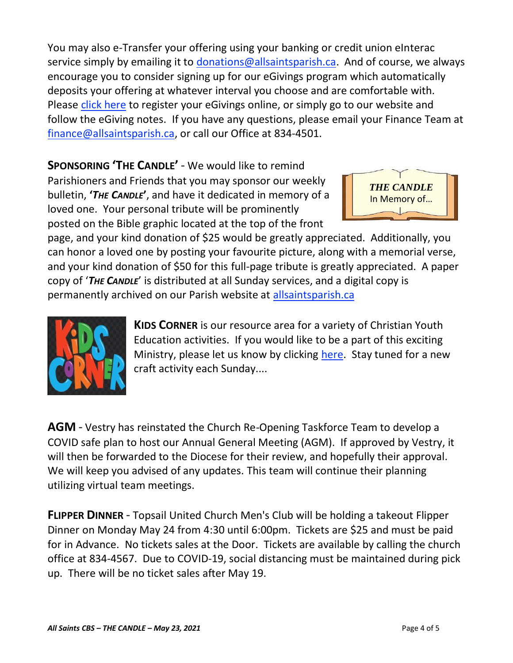You may also e-Transfer your offering using your banking or credit union eInterac service simply by emailing it to [donations@allsaintsparish.ca.](mailto:donations@allsaintsparish.ca) And of course, we always encourage you to consider signing up for our eGivings program which automatically deposits your offering at whatever interval you choose and are comfortable with. Please [click here](http://allsaintsparish.ca/egiving-online-information-form) to register your eGivings online, or simply go to our website and follow the eGiving notes. If you have [any](https://wfsites-to.websitecreatorprotool.com/870a5dd5.com/Admin/%7BSK_NODEID__22939341__SK%7D) questions, please email your Finance Team at [finance@allsaintsparish.ca,](mailto:finance@allsaintsparish.ca) or call our Office at 834-4501.

**SPONSORING 'THE CANDLE'** - We would like to remind Parishioners and Friends that you may sponsor our weekly bulletin, **'***THE CANDLE***'**, and have it dedicated in memory of a loved one. Your personal tribute will be prominently posted on the Bible graphic located at the top of the front



page, and your kind donation of \$25 would be greatly appreciated. Additionally, you can honor a loved one by posting your favourite picture, along with a memorial verse, and your kind donation of \$50 for this full-page tribute is greatly appreciated. A paper copy of '*THE CANDLE*' is distributed at all Sunday services, and a digital copy is permanently archived on our Parish website at [allsaintsparish.ca](http://allsaintsparish.ca/thecandle.html)



**KIDS CORNER** is our resource area for a variety of Christian Youth Education activities. If you would like to be a part of this exciting Ministry, please let us know by clicking [here.](http://allsaintsparish.ca/index.html#comments) Stay tuned for a new craft activity each Sunday....

**AGM** - Vestry has reinstated the Church Re-Opening Taskforce Team to develop a COVID safe plan to host our Annual General Meeting (AGM). If approved by Vestry, it will then be forwarded to the Diocese for their review, and hopefully their approval. We will keep you advised of any updates. This team will continue their planning utilizing virtual team meetings.

**FLIPPER DINNER** - Topsail United Church Men's Club will be holding a takeout Flipper Dinner on Monday May 24 from 4:30 until 6:00pm. Tickets are \$25 and must be paid for in Advance. No tickets sales at the Door. Tickets are available by calling the church office at 834-4567. Due to COVID-19, social distancing must be maintained during pick up. There will be no ticket sales after May 19.